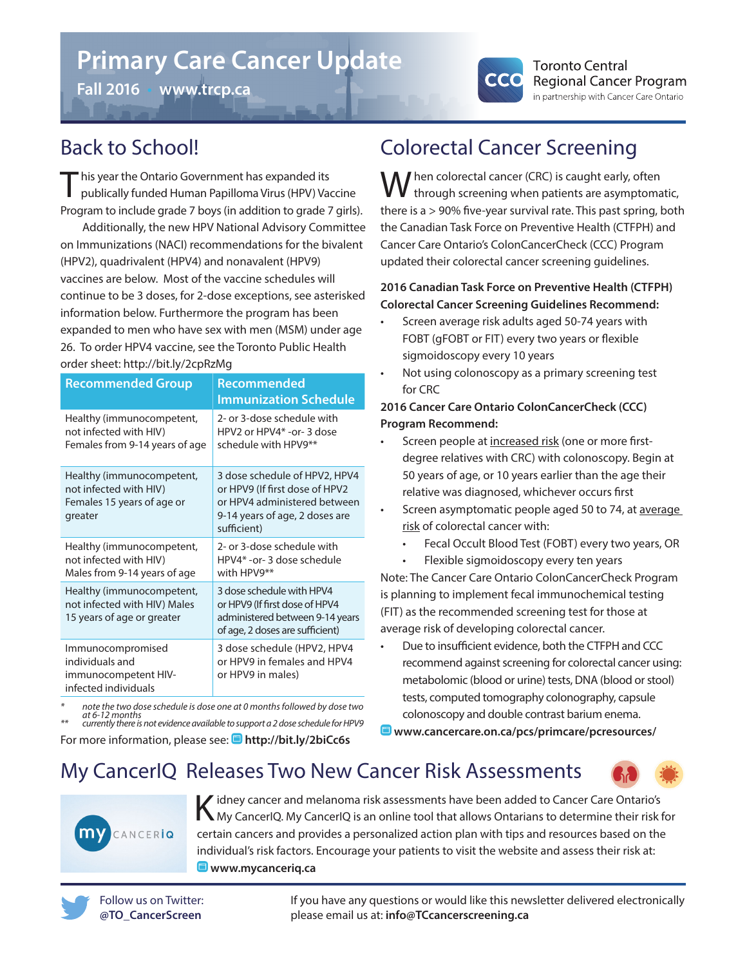# **Primary Care Cancer Update**

**Fall 2016** • **www.trcp.ca**



## Back to School!

This year the Ontario Government has expanded its<br>publically funded Human Papilloma Virus (HPV) Vaccine Program to include grade 7 boys (in addition to grade 7 girls).

Additionally, the new HPV National Advisory Committee on Immunizations (NACI) recommendations for the bivalent (HPV2), quadrivalent (HPV4) and nonavalent (HPV9) vaccines are below. Most of the vaccine schedules will continue to be 3 doses, for 2-dose exceptions, see asterisked information below. Furthermore the program has been expanded to men who have sex with men (MSM) under age 26. To order HPV4 vaccine, see the Toronto Public Health order sheet: http://bit.ly/2cpRzMg

| <b>Recommended Group</b>                                                                     | Recommended<br>Immunization Schedule                                                                                                             |
|----------------------------------------------------------------------------------------------|--------------------------------------------------------------------------------------------------------------------------------------------------|
| Healthy (immunocompetent,<br>not infected with HIV)<br>Females from 9-14 years of age        | 2- or 3-dose schedule with<br>HPV2 or HPV4* -or-3 dose<br>schedule with HPV9**                                                                   |
| Healthy (immunocompetent,<br>not infected with HIV)<br>Females 15 years of age or<br>greater | 3 dose schedule of HPV2, HPV4<br>or HPV9 (If first dose of HPV2<br>or HPV4 administered between<br>9-14 years of age, 2 doses are<br>sufficient) |
| Healthy (immunocompetent,<br>not infected with HIV)<br>Males from 9-14 years of age          | 2- or 3-dose schedule with<br>HPV4* - or - 3 dose schedule<br>with HPV9**                                                                        |
| Healthy (immunocompetent,<br>not infected with HIV) Males<br>15 years of age or greater      | 3 dose schedule with HPV4<br>or HPV9 (If first dose of HPV4<br>administered between 9-14 years<br>of age, 2 doses are sufficient)                |
| Immunocompromised<br>individuals and<br>immunocompetent HIV-<br>infected individuals         | 3 dose schedule (HPV2, HPV4<br>or HPV9 in females and HPV4<br>or HPV9 in males)                                                                  |

*\* note the two dose schedule is dose one at 0 months followed by dose two at 6-12 months \*\* currently there is not evidence available to support a 2 dose schedule for HPV9*

For more information, please see: **http://bit.ly/2biCc6s**

## Colorectal Cancer Screening

 $\bigwedge$  hen colorectal cancer (CRC) is caught early, often through screening when patients are asymptomatic, there is a > 90% five-year survival rate. This past spring, both the Canadian Task Force on Preventive Health (CTFPH) and Cancer Care Ontario's ColonCancerCheck (CCC) Program updated their colorectal cancer screening guidelines.

### **2016 Canadian Task Force on Preventive Health (CTFPH) Colorectal Cancer Screening Guidelines Recommend:**

- Screen average risk adults aged 50-74 years with FOBT (gFOBT or FIT) every two years or flexible sigmoidoscopy every 10 years
- Not using colonoscopy as a primary screening test for CRC

### **2016 Cancer Care Ontario ColonCancerCheck (CCC) Program Recommend:**

- Screen people at increased risk (one or more firstdegree relatives with CRC) with colonoscopy. Begin at 50 years of age, or 10 years earlier than the age their relative was diagnosed, whichever occurs first
- Screen asymptomatic people aged 50 to 74, at average risk of colorectal cancer with:
	- Fecal Occult Blood Test (FOBT) every two years, OR
	- Flexible sigmoidoscopy every ten years

Note: The Cancer Care Ontario ColonCancerCheck Program is planning to implement fecal immunochemical testing (FIT) as the recommended screening test for those at average risk of developing colorectal cancer.

• Due to insufficient evidence, both the CTFPH and CCC recommend against screening for colorectal cancer using: metabolomic (blood or urine) tests, DNA (blood or stool) tests, computed tomography colonography, capsule colonoscopy and double contrast barium enema.

**www.cancercare.on.ca/pcs/primcare/pcresources/**

## My CancerIQ Releases Two New Cancer Risk Assessments



K idney cancer and melanoma risk assessments have been added to Cancer Care Ontario's <br>K My CancerIQ. My CancerIQ is an online tool that allows Ontarians to determine their risk for certain cancers and provides a personalized action plan with tips and resources based on the individual's risk factors. Encourage your patients to visit the website and assess their risk at:  $\blacksquare$ **www.mycancerig.ca** 



If you have any questions or would like this newsletter delivered electronically please email us at: **info@TCcancerscreening.ca**